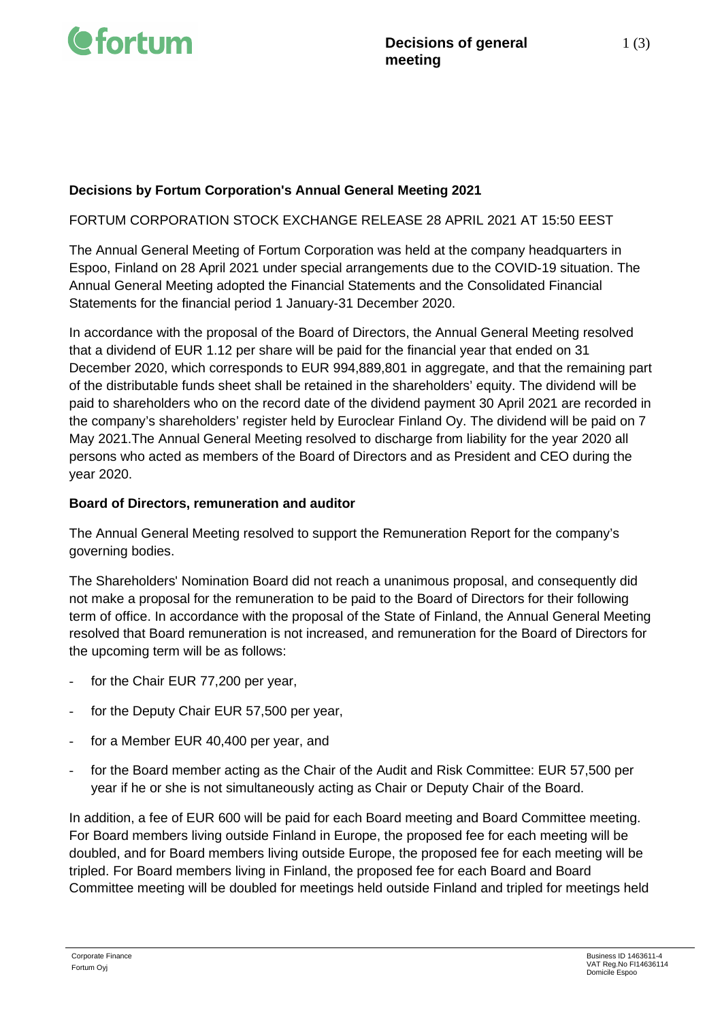

## **Decisions by Fortum Corporation's Annual General Meeting 2021**

### FORTUM CORPORATION STOCK EXCHANGE RELEASE 28 APRIL 2021 AT 15:50 EEST

The Annual General Meeting of Fortum Corporation was held at the company headquarters in Espoo, Finland on 28 April 2021 under special arrangements due to the COVID-19 situation. The Annual General Meeting adopted the Financial Statements and the Consolidated Financial Statements for the financial period 1 January-31 December 2020.

In accordance with the proposal of the Board of Directors, the Annual General Meeting resolved that a dividend of EUR 1.12 per share will be paid for the financial year that ended on 31 December 2020, which corresponds to EUR 994,889,801 in aggregate, and that the remaining part of the distributable funds sheet shall be retained in the shareholders' equity. The dividend will be paid to shareholders who on the record date of the dividend payment 30 April 2021 are recorded in the company's shareholders' register held by Euroclear Finland Oy. The dividend will be paid on 7 May 2021.The Annual General Meeting resolved to discharge from liability for the year 2020 all persons who acted as members of the Board of Directors and as President and CEO during the year 2020.

### **Board of Directors, remuneration and auditor**

The Annual General Meeting resolved to support the Remuneration Report for the company's governing bodies.

The Shareholders' Nomination Board did not reach a unanimous proposal, and consequently did not make a proposal for the remuneration to be paid to the Board of Directors for their following term of office. In accordance with the proposal of the State of Finland, the Annual General Meeting resolved that Board remuneration is not increased, and remuneration for the Board of Directors for the upcoming term will be as follows:

- for the Chair EUR 77,200 per year,
- for the Deputy Chair EUR 57,500 per year,
- for a Member EUR 40,400 per year, and
- for the Board member acting as the Chair of the Audit and Risk Committee: EUR 57,500 per year if he or she is not simultaneously acting as Chair or Deputy Chair of the Board.

In addition, a fee of EUR 600 will be paid for each Board meeting and Board Committee meeting. For Board members living outside Finland in Europe, the proposed fee for each meeting will be doubled, and for Board members living outside Europe, the proposed fee for each meeting will be tripled. For Board members living in Finland, the proposed fee for each Board and Board Committee meeting will be doubled for meetings held outside Finland and tripled for meetings held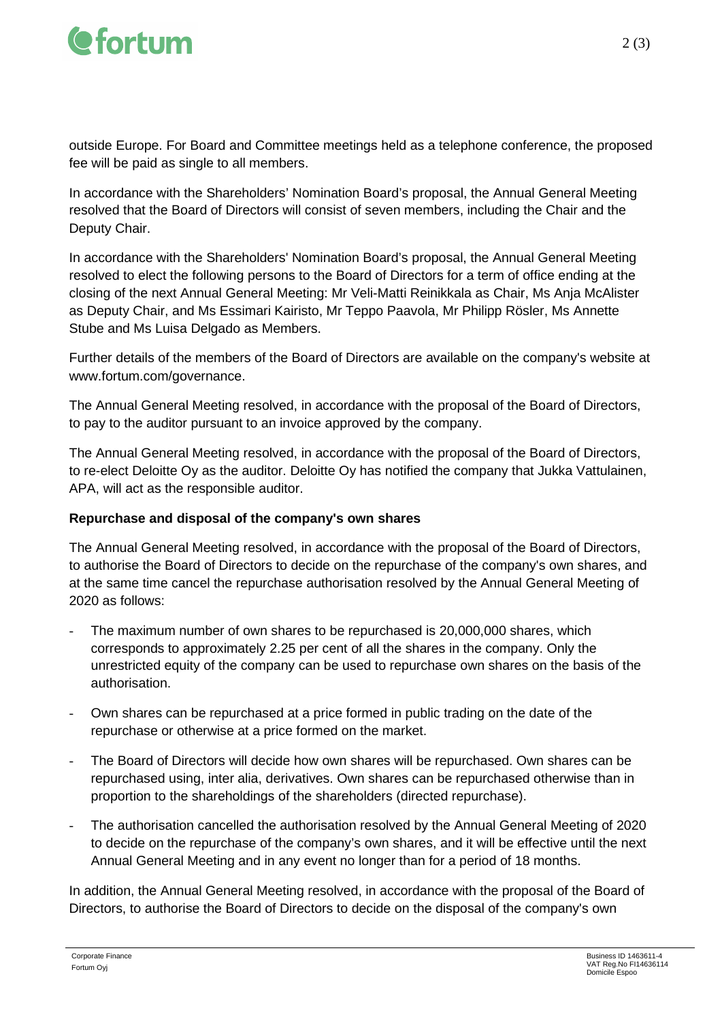

outside Europe. For Board and Committee meetings held as a telephone conference, the proposed fee will be paid as single to all members.

In accordance with the Shareholders' Nomination Board's proposal, the Annual General Meeting resolved that the Board of Directors will consist of seven members, including the Chair and the Deputy Chair.

In accordance with the Shareholders' Nomination Board's proposal, the Annual General Meeting resolved to elect the following persons to the Board of Directors for a term of office ending at the closing of the next Annual General Meeting: Mr Veli-Matti Reinikkala as Chair, Ms Anja McAlister as Deputy Chair, and Ms Essimari Kairisto, Mr Teppo Paavola, Mr Philipp Rösler, Ms Annette Stube and Ms Luisa Delgado as Members.

Further details of the members of the Board of Directors are available on the company's website at www.fortum.com/governance.

The Annual General Meeting resolved, in accordance with the proposal of the Board of Directors, to pay to the auditor pursuant to an invoice approved by the company.

The Annual General Meeting resolved, in accordance with the proposal of the Board of Directors, to re-elect Deloitte Oy as the auditor. Deloitte Oy has notified the company that Jukka Vattulainen, APA, will act as the responsible auditor.

# **Repurchase and disposal of the company's own shares**

The Annual General Meeting resolved, in accordance with the proposal of the Board of Directors, to authorise the Board of Directors to decide on the repurchase of the company's own shares, and at the same time cancel the repurchase authorisation resolved by the Annual General Meeting of 2020 as follows:

- The maximum number of own shares to be repurchased is 20,000,000 shares, which corresponds to approximately 2.25 per cent of all the shares in the company. Only the unrestricted equity of the company can be used to repurchase own shares on the basis of the authorisation.
- Own shares can be repurchased at a price formed in public trading on the date of the repurchase or otherwise at a price formed on the market.
- The Board of Directors will decide how own shares will be repurchased. Own shares can be repurchased using, inter alia, derivatives. Own shares can be repurchased otherwise than in proportion to the shareholdings of the shareholders (directed repurchase).
- The authorisation cancelled the authorisation resolved by the Annual General Meeting of 2020 to decide on the repurchase of the company's own shares, and it will be effective until the next Annual General Meeting and in any event no longer than for a period of 18 months.

In addition, the Annual General Meeting resolved, in accordance with the proposal of the Board of Directors, to authorise the Board of Directors to decide on the disposal of the company's own